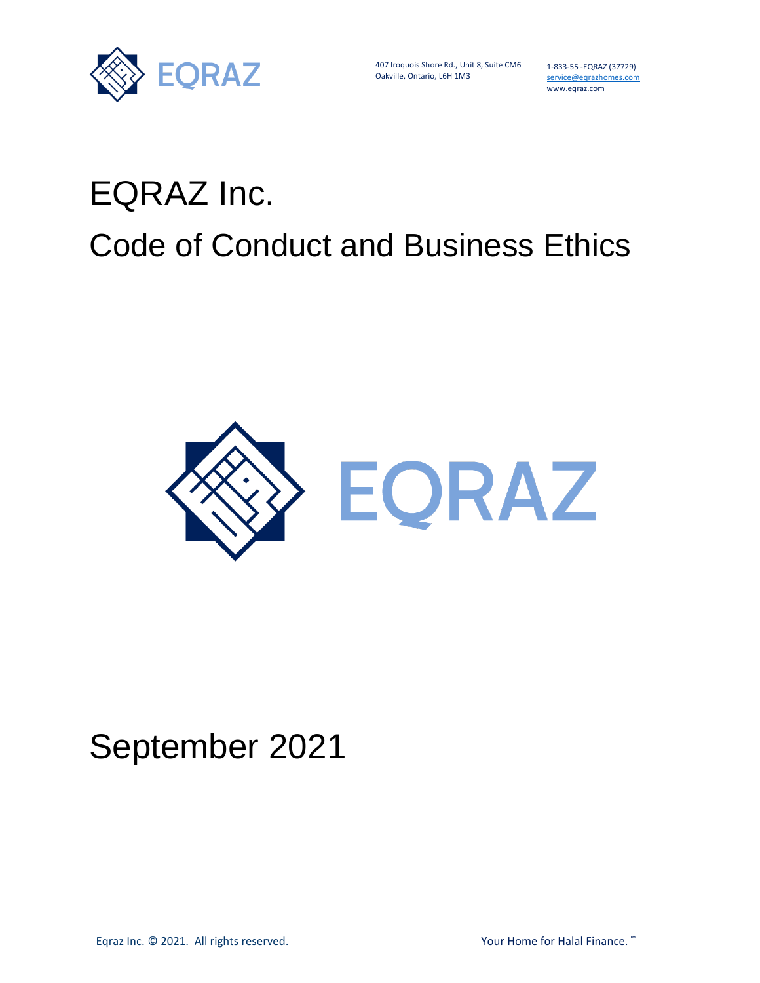

407 Iroquois Shore Rd., Unit 8, Suite CM6 Oakville, Ontario, L6H 1M3

1-833-55 -EQRAZ (37729) service@eqrazhomes.com www.eqraz.com

# EQRAZ Inc. Code of Conduct and Business Ethics



# September 2021

Eqraz Inc. © 2021. All rights reserved. The matrix of the Manuson of Halal Finance. ™ The Your Home for Halal Finance. ™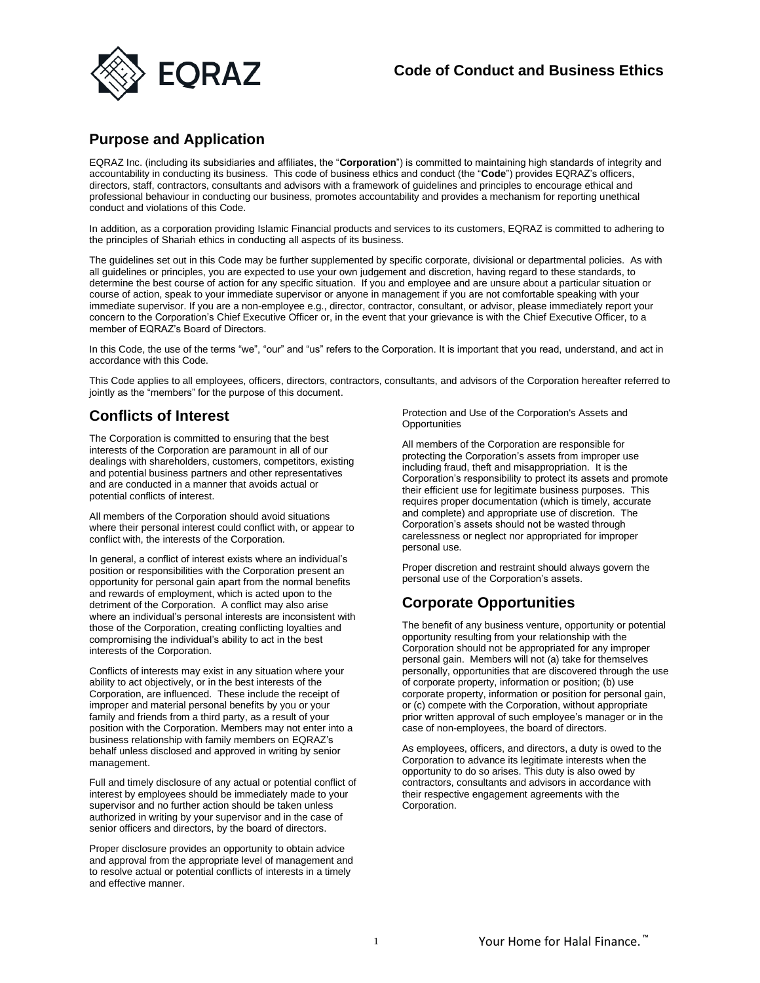

#### **Purpose and Application**

EQRAZ Inc. (including its subsidiaries and affiliates, the "**Corporation**") is committed to maintaining high standards of integrity and accountability in conducting its business. This code of business ethics and conduct (the "**Code**") provides EQRAZ's officers, directors, staff, contractors, consultants and advisors with a framework of guidelines and principles to encourage ethical and professional behaviour in conducting our business, promotes accountability and provides a mechanism for reporting unethical conduct and violations of this Code.

In addition, as a corporation providing Islamic Financial products and services to its customers, EQRAZ is committed to adhering to the principles of Shariah ethics in conducting all aspects of its business.

The guidelines set out in this Code may be further supplemented by specific corporate, divisional or departmental policies. As with all guidelines or principles, you are expected to use your own judgement and discretion, having regard to these standards, to determine the best course of action for any specific situation. If you and employee and are unsure about a particular situation or course of action, speak to your immediate supervisor or anyone in management if you are not comfortable speaking with your immediate supervisor. If you are a non-employee e.g., director, contractor, consultant, or advisor, please immediately report your concern to the Corporation's Chief Executive Officer or, in the event that your grievance is with the Chief Executive Officer, to a member of EQRAZ's Board of Directors.

In this Code, the use of the terms "we", "our" and "us" refers to the Corporation. It is important that you read, understand, and act in accordance with this Code.

This Code applies to all employees, officers, directors, contractors, consultants, and advisors of the Corporation hereafter referred to jointly as the "members" for the purpose of this document.

# **Conflicts of Interest**

The Corporation is committed to ensuring that the best interests of the Corporation are paramount in all of our dealings with shareholders, customers, competitors, existing and potential business partners and other representatives and are conducted in a manner that avoids actual or potential conflicts of interest.

All members of the Corporation should avoid situations where their personal interest could conflict with, or appear to conflict with, the interests of the Corporation.

In general, a conflict of interest exists where an individual's position or responsibilities with the Corporation present an opportunity for personal gain apart from the normal benefits and rewards of employment, which is acted upon to the detriment of the Corporation. A conflict may also arise where an individual's personal interests are inconsistent with those of the Corporation, creating conflicting loyalties and compromising the individual's ability to act in the best interests of the Corporation.

Conflicts of interests may exist in any situation where your ability to act objectively, or in the best interests of the Corporation, are influenced. These include the receipt of improper and material personal benefits by you or your family and friends from a third party, as a result of your position with the Corporation. Members may not enter into a business relationship with family members on EQRAZ's behalf unless disclosed and approved in writing by senior management.

Full and timely disclosure of any actual or potential conflict of interest by employees should be immediately made to your supervisor and no further action should be taken unless authorized in writing by your supervisor and in the case of senior officers and directors, by the board of directors.

Proper disclosure provides an opportunity to obtain advice and approval from the appropriate level of management and to resolve actual or potential conflicts of interests in a timely and effective manner.

Protection and Use of the Corporation's Assets and **Opportunities** 

All members of the Corporation are responsible for protecting the Corporation's assets from improper use including fraud, theft and misappropriation. It is the Corporation's responsibility to protect its assets and promote their efficient use for legitimate business purposes. This requires proper documentation (which is timely, accurate and complete) and appropriate use of discretion. The Corporation's assets should not be wasted through carelessness or neglect nor appropriated for improper personal use.

Proper discretion and restraint should always govern the personal use of the Corporation's assets.

# **Corporate Opportunities**

The benefit of any business venture, opportunity or potential opportunity resulting from your relationship with the Corporation should not be appropriated for any improper personal gain. Members will not (a) take for themselves personally, opportunities that are discovered through the use of corporate property, information or position; (b) use corporate property, information or position for personal gain, or (c) compete with the Corporation, without appropriate prior written approval of such employee's manager or in the case of non-employees, the board of directors.

As employees, officers, and directors, a duty is owed to the Corporation to advance its legitimate interests when the opportunity to do so arises. This duty is also owed by contractors, consultants and advisors in accordance with their respective engagement agreements with the Corporation.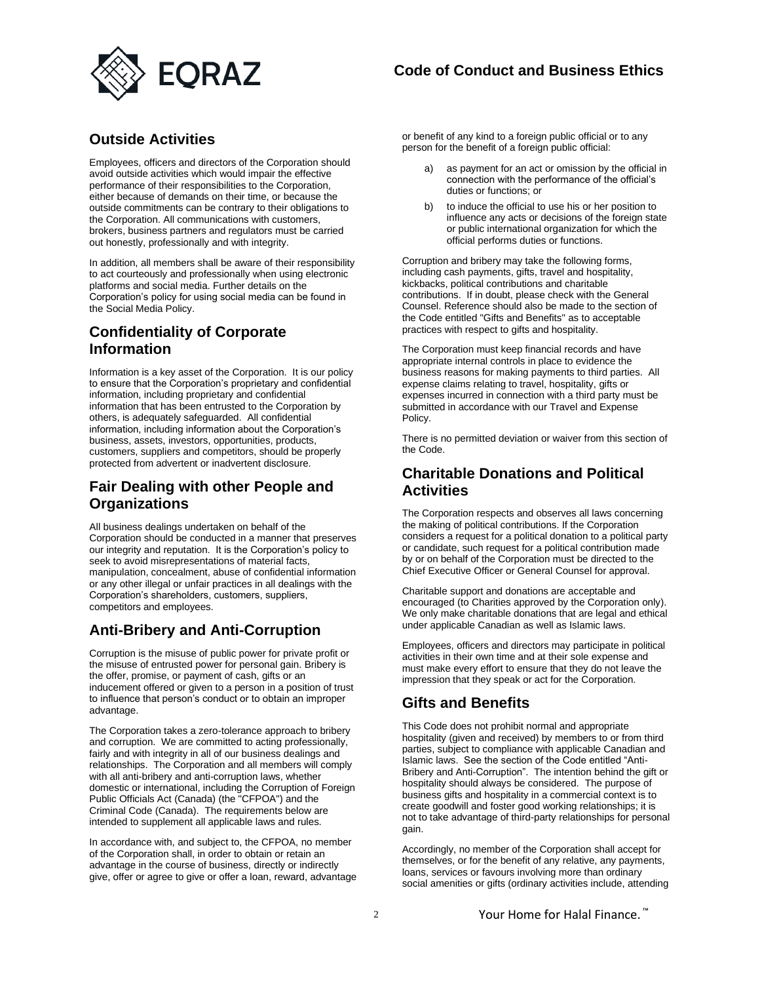

# **Outside Activities**

Employees, officers and directors of the Corporation should avoid outside activities which would impair the effective performance of their responsibilities to the Corporation, either because of demands on their time, or because the outside commitments can be contrary to their obligations to the Corporation. All communications with customers, brokers, business partners and regulators must be carried out honestly, professionally and with integrity.

In addition, all members shall be aware of their responsibility to act courteously and professionally when using electronic platforms and social media. Further details on the Corporation's policy for using social media can be found in the Social Media Policy.

# **Confidentiality of Corporate Information**

Information is a key asset of the Corporation. It is our policy to ensure that the Corporation's proprietary and confidential information, including proprietary and confidential information that has been entrusted to the Corporation by others, is adequately safeguarded. All confidential information, including information about the Corporation's business, assets, investors, opportunities, products, customers, suppliers and competitors, should be properly protected from advertent or inadvertent disclosure.

# **Fair Dealing with other People and Organizations**

All business dealings undertaken on behalf of the Corporation should be conducted in a manner that preserves our integrity and reputation. It is the Corporation's policy to seek to avoid misrepresentations of material facts, manipulation, concealment, abuse of confidential information or any other illegal or unfair practices in all dealings with the Corporation's shareholders, customers, suppliers, competitors and employees.

# **Anti-Bribery and Anti-Corruption**

Corruption is the misuse of public power for private profit or the misuse of entrusted power for personal gain. Bribery is the offer, promise, or payment of cash, gifts or an inducement offered or given to a person in a position of trust to influence that person's conduct or to obtain an improper advantage.

The Corporation takes a zero-tolerance approach to bribery and corruption. We are committed to acting professionally, fairly and with integrity in all of our business dealings and relationships. The Corporation and all members will comply with all anti-bribery and anti-corruption laws, whether domestic or international, including the Corruption of Foreign Public Officials Act (Canada) (the "CFPOA") and the Criminal Code (Canada). The requirements below are intended to supplement all applicable laws and rules.

In accordance with, and subject to, the CFPOA, no member of the Corporation shall, in order to obtain or retain an advantage in the course of business, directly or indirectly give, offer or agree to give or offer a loan, reward, advantage

or benefit of any kind to a foreign public official or to any person for the benefit of a foreign public official:

- as payment for an act or omission by the official in connection with the performance of the official's duties or functions; or
- b) to induce the official to use his or her position to influence any acts or decisions of the foreign state or public international organization for which the official performs duties or functions.

Corruption and bribery may take the following forms, including cash payments, gifts, travel and hospitality, kickbacks, political contributions and charitable contributions. If in doubt, please check with the General Counsel. Reference should also be made to the section of the Code entitled "Gifts and Benefits" as to acceptable practices with respect to gifts and hospitality.

The Corporation must keep financial records and have appropriate internal controls in place to evidence the business reasons for making payments to third parties. All expense claims relating to travel, hospitality, gifts or expenses incurred in connection with a third party must be submitted in accordance with our Travel and Expense Policy.

There is no permitted deviation or waiver from this section of the Code.

#### **Charitable Donations and Political Activities**

The Corporation respects and observes all laws concerning the making of political contributions. If the Corporation considers a request for a political donation to a political party or candidate, such request for a political contribution made by or on behalf of the Corporation must be directed to the Chief Executive Officer or General Counsel for approval.

Charitable support and donations are acceptable and encouraged (to Charities approved by the Corporation only). We only make charitable donations that are legal and ethical under applicable Canadian as well as Islamic laws.

Employees, officers and directors may participate in political activities in their own time and at their sole expense and must make every effort to ensure that they do not leave the impression that they speak or act for the Corporation.

# **Gifts and Benefits**

This Code does not prohibit normal and appropriate hospitality (given and received) by members to or from third parties, subject to compliance with applicable Canadian and Islamic laws. See the section of the Code entitled "Anti-Bribery and Anti-Corruption". The intention behind the gift or hospitality should always be considered. The purpose of business gifts and hospitality in a commercial context is to create goodwill and foster good working relationships; it is not to take advantage of third-party relationships for personal gain.

Accordingly, no member of the Corporation shall accept for themselves, or for the benefit of any relative, any payments, loans, services or favours involving more than ordinary social amenities or gifts (ordinary activities include, attending